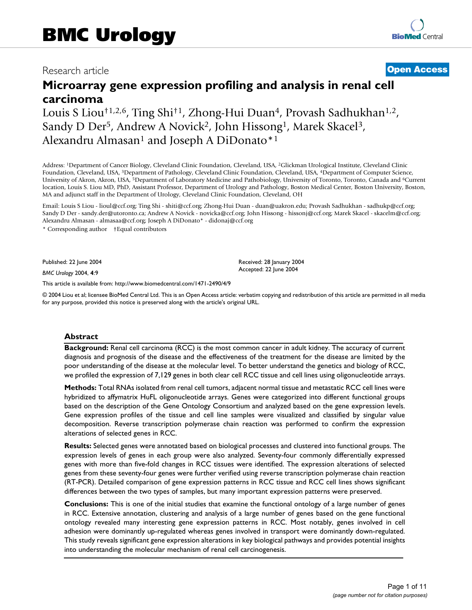# Research article **[Open Access](http://www.biomedcentral.com/info/about/charter/)**

# **Microarray gene expression profiling and analysis in renal cell carcinoma**

Louis S Liou<sup>†1,2,6</sup>, Ting Shi<sup>†1</sup>, Zhong-Hui Duan<sup>4</sup>, Provash Sadhukhan<sup>1,2</sup>, Sandy D Der<sup>5</sup>, Andrew A Novick<sup>2</sup>, John Hissong<sup>1</sup>, Marek Skacel<sup>3</sup>, Alexandru Almasan<sup>1</sup> and Joseph A DiDonato<sup>\*1</sup>

Address: 1Department of Cancer Biology, Cleveland Clinic Foundation, Cleveland, USA, 2Glickman Urological Institute, Cleveland Clinic Foundation, Cleveland, USA, 3Department of Pathology, Cleveland Clinic Foundation, Cleveland, USA, 4Department of Computer Science, University of Akron, Akron, USA, 5Department of Laboratory Medicine and Pathobiology, University of Toronto, Toronto, Canada and 6Current location, Louis S. Liou MD, PhD, Assistant Professor, Department of Urology and Pathology, Boston Medical Center, Boston University, Boston, MA and adjunct staff in the Department of Urology, Cleveland Clinic Foundation, Cleveland, OH

Email: Louis S Liou - lioul@ccf.org; Ting Shi - shiti@ccf.org; Zhong-Hui Duan - duan@uakron.edu; Provash Sadhukhan - sadhukp@ccf.org; Sandy D Der - sandy.der@utoronto.ca; Andrew A Novick - novicka@ccf.org; John Hissong - hissonj@ccf.org; Marek Skacel - skacelm@ccf.org; Alexandru Almasan - almasaa@ccf.org; Joseph A DiDonato\* - didonaj@ccf.org

\* Corresponding author †Equal contributors

Published: 22 June 2004

*BMC Urology* 2004, **4**:9

[This article is available from: http://www.biomedcentral.com/1471-2490/4/9](http://www.biomedcentral.com/1471-2490/4/9)

© 2004 Liou et al; licensee BioMed Central Ltd. This is an Open Access article: verbatim copying and redistribution of this article are permitted in all media for any purpose, provided this notice is preserved along with the article's original URL.

Received: 28 January 2004 Accepted: 22 June 2004

#### **Abstract**

**Background:** Renal cell carcinoma (RCC) is the most common cancer in adult kidney. The accuracy of current diagnosis and prognosis of the disease and the effectiveness of the treatment for the disease are limited by the poor understanding of the disease at the molecular level. To better understand the genetics and biology of RCC, we profiled the expression of 7,129 genes in both clear cell RCC tissue and cell lines using oligonucleotide arrays.

**Methods:** Total RNAs isolated from renal cell tumors, adjacent normal tissue and metastatic RCC cell lines were hybridized to affymatrix HuFL oligonucleotide arrays. Genes were categorized into different functional groups based on the description of the Gene Ontology Consortium and analyzed based on the gene expression levels. Gene expression profiles of the tissue and cell line samples were visualized and classified by singular value decomposition. Reverse transcription polymerase chain reaction was performed to confirm the expression alterations of selected genes in RCC.

**Results:** Selected genes were annotated based on biological processes and clustered into functional groups. The expression levels of genes in each group were also analyzed. Seventy-four commonly differentially expressed genes with more than five-fold changes in RCC tissues were identified. The expression alterations of selected genes from these seventy-four genes were further verified using reverse transcription polymerase chain reaction (RT-PCR). Detailed comparison of gene expression patterns in RCC tissue and RCC cell lines shows significant differences between the two types of samples, but many important expression patterns were preserved.

**Conclusions:** This is one of the initial studies that examine the functional ontology of a large number of genes in RCC. Extensive annotation, clustering and analysis of a large number of genes based on the gene functional ontology revealed many interesting gene expression patterns in RCC. Most notably, genes involved in cell adhesion were dominantly up-regulated whereas genes involved in transport were dominantly down-regulated. This study reveals significant gene expression alterations in key biological pathways and provides potential insights into understanding the molecular mechanism of renal cell carcinogenesis.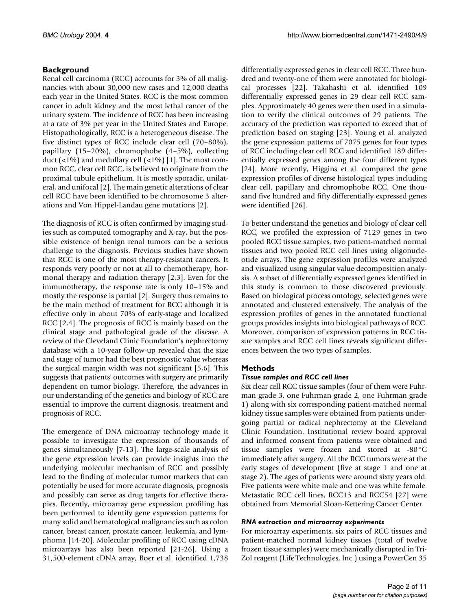# **Background**

Renal cell carcinoma (RCC) accounts for 3% of all malignancies with about 30,000 new cases and 12,000 deaths each year in the United States. RCC is the most common cancer in adult kidney and the most lethal cancer of the urinary system. The incidence of RCC has been increasing at a rate of 3% per year in the United States and Europe. Histopathologically, RCC is a heterogeneous disease. The five distinct types of RCC include clear cell (70–80%), papillary (15–20%), chromophobe (4–5%), collecting duct  $(\langle 1\% \rangle)$  and medullary cell  $(\langle 1\% \rangle)$  [1]. The most common RCC, clear cell RCC, is believed to originate from the proximal tubule epithelium. It is mostly sporadic, unilateral, and unifocal [2]. The main genetic alterations of clear cell RCC have been identified to be chromosome 3 alterations and Von Hippel-Landau gene mutations [2].

The diagnosis of RCC is often confirmed by imaging studies such as computed tomography and X-ray, but the possible existence of benign renal tumors can be a serious challenge to the diagnosis. Previous studies have shown that RCC is one of the most therapy-resistant cancers. It responds very poorly or not at all to chemotherapy, hormonal therapy and radiation therapy [2,3]. Even for the immunotherapy, the response rate is only 10–15% and mostly the response is partial [2]. Surgery thus remains to be the main method of treatment for RCC although it is effective only in about 70% of early-stage and localized RCC [2,4]. The prognosis of RCC is mainly based on the clinical stage and pathological grade of the disease. A review of the Cleveland Clinic Foundation's nephrectomy database with a 10-year follow-up revealed that the size and stage of tumor had the best prognostic value whereas the surgical margin width was not significant [5,6]. This suggests that patients' outcomes with surgery are primarily dependent on tumor biology. Therefore, the advances in our understanding of the genetics and biology of RCC are essential to improve the current diagnosis, treatment and prognosis of RCC.

The emergence of DNA microarray technology made it possible to investigate the expression of thousands of genes simultaneously [7-13]. The large-scale analysis of the gene expression levels can provide insights into the underlying molecular mechanism of RCC and possibly lead to the finding of molecular tumor markers that can potentially be used for more accurate diagnosis, prognosis and possibly can serve as drug targets for effective therapies. Recently, microarray gene expression profiling has been performed to identify gene expression patterns for many solid and hematological malignancies such as colon cancer, breast cancer, prostate cancer, leukemia, and lymphoma [14-20]. Molecular profiling of RCC using cDNA microarrays has also been reported [21-26]. Using a 31,500-element cDNA array, Boer et al. identified 1,738

differentially expressed genes in clear cell RCC. Three hundred and twenty-one of them were annotated for biological processes [22]. Takahashi et al. identified 109 differentially expressed genes in 29 clear cell RCC samples. Approximately 40 genes were then used in a simulation to verify the clinical outcomes of 29 patients. The accuracy of the prediction was reported to exceed that of prediction based on staging [23]. Young et al. analyzed the gene expression patterns of 7075 genes for four types of RCC including clear cell RCC and identified 189 differentially expressed genes among the four different types [24]. More recently, Higgins et al. compared the gene expression profiles of diverse histological types including clear cell, papillary and chromophobe RCC. One thousand five hundred and fifty differentially expressed genes were identified [26].

To better understand the genetics and biology of clear cell RCC, we profiled the expression of 7129 genes in two pooled RCC tissue samples, two patient-matched normal tissues and two pooled RCC cell lines using oligonucleotide arrays. The gene expression profiles were analyzed and visualized using singular value decomposition analysis. A subset of differentially expressed genes identified in this study is common to those discovered previously. Based on biological process ontology, selected genes were annotated and clustered extensively. The analysis of the expression profiles of genes in the annotated functional groups provides insights into biological pathways of RCC. Moreover, comparison of expression patterns in RCC tissue samples and RCC cell lines reveals significant differences between the two types of samples.

# **Methods**

# *Tissue samples and RCC cell lines*

Six clear cell RCC tissue samples (four of them were Fuhrman grade 3, one Fuhrman grade 2, one Fuhrman grade 1) along with six corresponding patient-matched normal kidney tissue samples were obtained from patients undergoing partial or radical nephrectomy at the Cleveland Clinic Foundation. Institutional review board approval and informed consent from patients were obtained and tissue samples were frozen and stored at -80°C immediately after surgery. All the RCC tumors were at the early stages of development (five at stage 1 and one at stage 2). The ages of patients were around sixty years old. Five patients were white male and one was white female. Metastatic RCC cell lines, RCC13 and RCC54 [27] were obtained from Memorial Sloan-Kettering Cancer Center.

# *RNA extraction and microarray experiments*

For microarray experiments, six pairs of RCC tissues and patient-matched normal kidney tissues (total of twelve frozen tissue samples) were mechanically disrupted in Tri-Zol reagent (Life Technologies, Inc.) using a PowerGen 35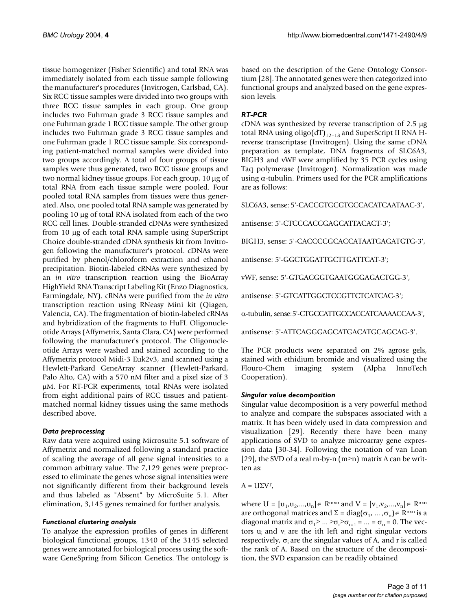tissue homogenizer (Fisher Scientific) and total RNA was immediately isolated from each tissue sample following the manufacturer's procedures (Invitrogen, Carlsbad, CA). Six RCC tissue samples were divided into two groups with three RCC tissue samples in each group. One group includes two Fuhrman grade 3 RCC tissue samples and one Fuhrman grade 1 RCC tissue sample. The other group includes two Fuhrman grade 3 RCC tissue samples and one Fuhrman grade 1 RCC tissue sample. Six corresponding patient-matched normal samples were divided into two groups accordingly. A total of four groups of tissue samples were thus generated, two RCC tissue groups and two normal kidney tissue groups. For each group, 10 µg of total RNA from each tissue sample were pooled. Four pooled total RNA samples from tissues were thus generated. Also, one pooled total RNA sample was generated by pooling 10 µg of total RNA isolated from each of the two RCC cell lines. Double-stranded cDNAs were synthesized from 10 µg of each total RNA sample using SuperScript Choice double-stranded cDNA synthesis kit from Invitrogen following the manufacturer's protocol. cDNAs were purified by phenol/chloroform extraction and ethanol precipitation. Biotin-labeled cRNAs were synthesized by an *in vitro* transcription reaction using the BioArray HighYield RNA Transcript Labeling Kit (Enzo Diagnostics, Farmingdale, NY). cRNAs were purified from the *in vitro* transcription reaction using RNeasy Mini kit (Qiagen, Valencia, CA). The fragmentation of biotin-labeled cRNAs and hybridization of the fragments to HuFL Oligonucleotide Arrays (Affymetrix, Santa Clara, CA) were performed following the manufacturer's protocol. The Oligonucleotide Arrays were washed and stained according to the Affymetrix protocol Midi-3 Euk2v3, and scanned using a Hewlett-Parkard GeneArray scanner (Hewlett-Parkard, Palo Alto, CA) with a 570 nM filter and a pixel size of 3 µM. For RT-PCR experiments, total RNAs were isolated from eight additional pairs of RCC tissues and patientmatched normal kidney tissues using the same methods described above.

# *Data preprocessing*

Raw data were acquired using Microsuite 5.1 software of Affymetrix and normalized following a standard practice of scaling the average of all gene signal intensities to a common arbitrary value. The 7,129 genes were preprocessed to eliminate the genes whose signal intensities were not significantly different from their background levels and thus labeled as "Absent" by MicroSuite 5.1. After elimination, 3,145 genes remained for further analysis.

# *Functional clustering analysis*

To analyze the expression profiles of genes in different biological functional groups, 1340 of the 3145 selected genes were annotated for biological process using the software GeneSpring from Silicon Genetics. The ontology is

based on the description of the Gene Ontology Consortium [28]. The annotated genes were then categorized into functional groups and analyzed based on the gene expression levels.

# *RT-PCR*

cDNA was synthesized by reverse transcription of 2.5 µg total RNA using oligo $(dT)_{12-18}$  and SuperScript II RNA Hreverse transcriptase (Invitrogen). Using the same cDNA preparation as template, DNA fragments of SLC6A3, BIGH3 and vWF were amplified by 35 PCR cycles using Taq polymerase (Invitrogen). Normalization was made using  $\alpha$ -tubulin. Primers used for the PCR amplifications are as follows:

SLC6A3, sense: 5'-CACCGTGCGTGCCACATCAATAAC-3',

antisense: 5'-CTCCCACCGAGCATTACACT-3';

BIGH3, sense: 5'-CACCCCGCACCATAATGAGATGTG-3',

antisense: 5'-GGCTGGATTGCTTGATTCAT-3';

vWF, sense: 5'-GTGACGGTGAATGGGAGACTGG-3',

antisense: 5'-GTCATTGGCTCCGTTCTCATCAC-3';

α-tubulin, sense: 5'-CTGCCATTGCCACCATCAAAACCAA-3',

antisense: 5'-ATTCAGGGAGCATGACATGCAGCAG-3'.

The PCR products were separated on 2% agrose gels, stained with ethidium bromide and visualized using the Flouro-Chem imaging system (Alpha InnoTech Cooperation).

# *Singular value decomposition*

Singular value decomposition is a very powerful method to analyze and compare the subspaces associated with a matrix. It has been widely used in data compression and visualization [29]. Recently there have been many applications of SVD to analyze microarray gene expression data [30-34]. Following the notation of van Loan [29], the SVD of a real m-by-n (m≥n) matrix A can be written as:

 $A = U\Sigma V^{T}$ ,

where U =  $[u_1, u_2, ..., u_n]$ ∈ R<sup>mxn</sup> and V =  $[v_1, v_2, ..., v_n]$ ∈ R<sup>nxn</sup> are orthogonal matrices and  $\Sigma = diag(\sigma_1, ..., \sigma_n) \in \mathbb{R}^{n \times n}$  is a diagonal matrix and  $\sigma_1 \geq ... \geq \sigma_r \geq \sigma_{r+1} = ... = \sigma_n = 0$ . The vectors  $u_i$  and  $v_i$  are the ith left and right singular vectors respectively,  $\sigma_i$  are the singular values of A, and r is called the rank of A. Based on the structure of the decomposition, the SVD expansion can be readily obtained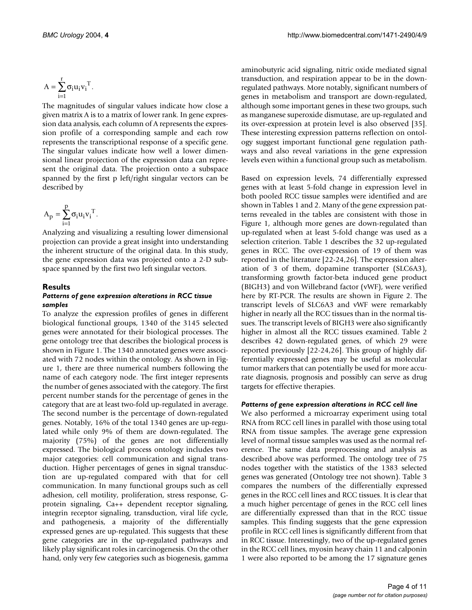$$
A = \sum_{i=1}^r \sigma_i u_i {v_i}^T.
$$

The magnitudes of singular values indicate how close a given matrix A is to a matrix of lower rank. In gene expression data analysis, each column of A represents the expression profile of a corresponding sample and each row represents the transcriptional response of a specific gene. The singular values indicate how well a lower dimensional linear projection of the expression data can represent the original data. The projection onto a subspace spanned by the first p left/right singular vectors can be described by

$$
A_p = \sum_{i=1}^p \sigma_i {u_i {v_i}^T}.
$$

Analyzing and visualizing a resulting lower dimensional projection can provide a great insight into understanding the inherent structure of the original data. In this study, the gene expression data was projected onto a 2-D subspace spanned by the first two left singular vectors.

#### **Results** *Patterns of gene expression alterations in RCC tissue samples*

To analyze the expression profiles of genes in different biological functional groups, 1340 of the 3145 selected genes were annotated for their biological processes. The gene ontology tree that describes the biological process is shown in Figure [1.](#page-4-0) The 1340 annotated genes were associated with 72 nodes within the ontology. As shown in Figure [1,](#page-4-0) there are three numerical numbers following the name of each category node. The first integer represents the number of genes associated with the category. The first percent number stands for the percentage of genes in the category that are at least two-fold up-regulated in average. The second number is the percentage of down-regulated genes. Notably, 16% of the total 1340 genes are up-regulated while only 9% of them are down-regulated. The majority (75%) of the genes are not differentially expressed. The biological process ontology includes two major categories: cell communication and signal transduction. Higher percentages of genes in signal transduction are up-regulated compared with that for cell communication. In many functional groups such as cell adhesion, cell motility, proliferation, stress response, Gprotein signaling, Ca++ dependent receptor signaling, integrin receptor signaling, transduction, viral life cycle, and pathogenesis, a majority of the differentially expressed genes are up-regulated. This suggests that these gene categories are in the up-regulated pathways and likely play significant roles in carcinogenesis. On the other hand, only very few categories such as biogenesis, gamma

aminobutyric acid signaling, nitric oxide mediated signal transduction, and respiration appear to be in the downregulated pathways. More notably, significant numbers of genes in metabolism and transport are down-regulated, although some important genes in these two groups, such as manganese superoxide dismutase, are up-regulated and its over-expression at protein level is also observed [35]. These interesting expression patterns reflection on ontology suggest important functional gene regulation pathways and also reveal variations in the gene expression levels even within a functional group such as metabolism.

Based on expression levels, 74 differentially expressed genes with at least 5-fold change in expression level in both pooled RCC tissue samples were identified and are shown in Tables [1](#page-5-0) and [2](#page-5-1). Many of the gene expression patterns revealed in the tables are consistent with those in Figure [1](#page-4-0), although more genes are down-regulated than up-regulated when at least 5-fold change was used as a selection criterion. Table [1](#page-5-0) describes the 32 up-regulated genes in RCC. The over-expression of 19 of them was reported in the literature [22-24,26]. The expression alteration of 3 of them, dopamine transporter (SLC6A3), transforming growth factor-beta induced gene product (BIGH3) and von Willebrand factor (vWF), were verified here by RT-PCR. The results are shown in Figure 2. The transcript levels of SLC6A3 and vWF were remarkably higher in nearly all the RCC tissues than in the normal tissues. The transcript levels of BIGH3 were also significantly higher in almost all the RCC tissues examined. Table [2](#page-5-1) describes 42 down-regulated genes, of which 29 were reported previously [22-24,26]. This group of highly differentially expressed genes may be useful as molecular tumor markers that can potentially be used for more accurate diagnosis, prognosis and possibly can serve as drug targets for effective therapies.

#### *Patterns of gene expression alterations in RCC cell line*

We also performed a microarray experiment using total RNA from RCC cell lines in parallel with those using total RNA from tissue samples. The average gene expression level of normal tissue samples was used as the normal reference. The same data preprocessing and analysis as described above was performed. The ontology tree of 75 nodes together with the statistics of the 1383 selected genes was generated (Ontology tree not shown). Table [3](#page-6-0) compares the numbers of the differentially expressed genes in the RCC cell lines and RCC tissues. It is clear that a much higher percentage of genes in the RCC cell lines are differentially expressed than that in the RCC tissue samples. This finding suggests that the gene expression profile in RCC cell lines is significantly different from that in RCC tissue. Interestingly, two of the up-regulated genes in the RCC cell lines, myosin heavy chain 11 and calponin 1 were also reported to be among the 17 signature genes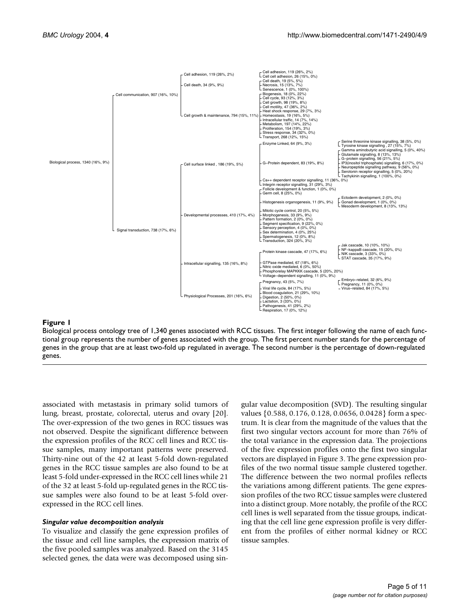<span id="page-4-0"></span>

#### **Figure 1**

Biological process ontology tree of 1,340 genes associated with RCC tissues. The first integer following the name of each functional group represents the number of genes associated with the group. The first percent number stands for the percentage of genes in the group that are at least two-fold up regulated in average. The second number is the percentage of down-regulated genes.

associated with metastasis in primary solid tumors of lung, breast, prostate, colorectal, uterus and ovary [20]. The over-expression of the two genes in RCC tissues was not observed. Despite the significant difference between the expression profiles of the RCC cell lines and RCC tissue samples, many important patterns were preserved. Thirty-nine out of the 42 at least 5-fold down-regulated genes in the RCC tissue samples are also found to be at least 5-fold under-expressed in the RCC cell lines while 21 of the 32 at least 5-fold up-regulated genes in the RCC tissue samples were also found to be at least 5-fold overexpressed in the RCC cell lines.

#### *Singular value decomposition analysis*

To visualize and classify the gene expression profiles of the tissue and cell line samples, the expression matrix of the five pooled samples was analyzed. Based on the 3145 selected genes, the data were was decomposed using singular value decomposition (SVD). The resulting singular values {0.588, 0.176, 0.128, 0.0656, 0.0428} form a spectrum. It is clear from the magnitude of the values that the first two singular vectors account for more than 76% of the total variance in the expression data. The projections of the five expression profiles onto the first two singular vectors are displayed in Figure [3.](#page-7-0) The gene expression profiles of the two normal tissue sample clustered together. The difference between the two normal profiles reflects the variations among different patients. The gene expression profiles of the two RCC tissue samples were clustered into a distinct group. More notably, the profile of the RCC cell lines is well separated from the tissue groups, indicating that the cell line gene expression profile is very different from the profiles of either normal kidney or RCC tissue samples.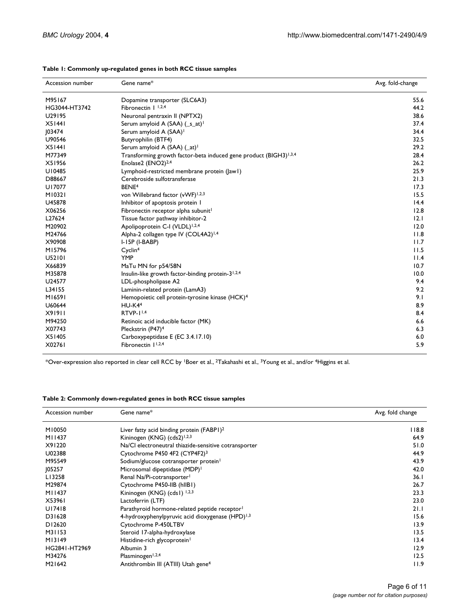| Accession number | Gene name*                                                                    | Avg. fold-change |
|------------------|-------------------------------------------------------------------------------|------------------|
| M95167           | Dopamine transporter (SLC6A3)                                                 | 55.6             |
| HG3044-HT3742    | Fibronectin $I$ <sup>1,2,4</sup>                                              | 44.2             |
| U29195           | Neuronal pentraxin II (NPTX2)                                                 | 38.6             |
| X51441           | Serum amyloid A (SAA) (_s_at) <sup>1</sup>                                    | 37.4             |
| 03474            | Serum amyloid A (SAA) <sup>1</sup>                                            | 34.4             |
| U90546           | Butyrophilin (BTF4)                                                           | 32.5             |
| X51441           | Serum amyloid A (SAA) (_at) <sup>1</sup>                                      | 29.2             |
| M77349           | Transforming growth factor-beta induced gene product (BIGH3) <sup>1,3,4</sup> | 28.4             |
| X51956           | Enolase2 (ENO2) <sup>2,4</sup>                                                | 26.2             |
| U10485           | Lymphoid-restricted membrane protein ( awl)                                   | 25.9             |
| D88667           | Cerebroside sulfotransferase                                                  | 21.3             |
| U17077           | BENE <sup>4</sup>                                                             | 17.3             |
| M10321           | von Willebrand factor (vWF) <sup>1,2,3</sup>                                  | 15.5             |
| U45878           | Inhibitor of apoptosis protein I                                              | 14.4             |
| X06256           | Fibronectin receptor alpha subunit <sup>1</sup>                               | 12.8             |
| L27624           | Tissue factor pathway inhibitor-2                                             | 12.1             |
| M20902           | Apolipoprotein C-I (VLDL) <sup>1,2,4</sup>                                    | 12.0             |
| M24766           | Alpha-2 collagen type IV (COL4A2) <sup>1,4</sup>                              | 11.8             |
| X90908           | $I-I5P$ ( $I-BABP$ )                                                          | 11.7             |
| M15796           | Cyclin <sup>4</sup>                                                           | 11.5             |
| U52101           | <b>YMP</b>                                                                    | 11.4             |
| X66839           | MaTu MN for p54/58N                                                           | 10.7             |
| M35878           | Insulin-like growth factor-binding protein-3 <sup>1,2,4</sup>                 | 10.0             |
| U24577           | LDL-phospholipase A2                                                          | 9.4              |
| L34155           | Laminin-related protein (LamA3)                                               | 9.2              |
| M16591           | Hemopoietic cell protein-tyrosine kinase (HCK) <sup>4</sup>                   | 9.1              |
| U60644           | $HU-K44$                                                                      | 8.9              |
| X91911           | RTVP-11,4                                                                     | 8.4              |
| M94250           | Retinoic acid inducible factor (MK)                                           | 6.6              |
| X07743           | Pleckstrin (P47) <sup>4</sup>                                                 | 6.3              |
| X51405           | Carboxypeptidase E (EC 3.4.17.10)                                             | 6.0              |
| X02761           | Fibronectin   1,2,4                                                           | 5.9              |

#### <span id="page-5-0"></span>**Table 1: Commonly up-regulated genes in both RCC tissue samples**

\*Over-expression also reported in clear cell RCC by 1Boer et al., 2Takahashi et al., 3Young et al., and/or 4Higgins et al.

#### <span id="page-5-1"></span>**Table 2: Commonly down-regulated genes in both RCC tissue samples**

| Accession number    | Gene name*                                                   | Avg. fold change |
|---------------------|--------------------------------------------------------------|------------------|
| M10050              | Liver fatty acid binding protein (FABPI) <sup>2</sup>        | 118.8            |
| M11437              | Kininogen (KNG) (cds2) <sup>1,2,3</sup>                      | 64.9             |
| X91220              | Na/Cl electroneutral thiazide-sensitive cotransporter        | 51.0             |
| U02388              | Cytochrome P450 4F2 (CYP4F2) <sup>3</sup>                    | 44.9             |
| M95549              | Sodium/glucose cotransporter protein <sup>1</sup>            | 43.9             |
| 105257              | Microsomal dipeptidase (MDP) <sup>1</sup>                    | 42.0             |
| L13258              | Renal Na/Pi-cotransporter <sup>1</sup>                       | 36.1             |
| M29874              | Cytochrome P450-IIB (hIIBI)                                  | 26.7             |
| M11437              | Kininogen (KNG) (cds1) 1,2,3                                 | 23.3             |
| X53961              | Lactoferrin (LTF)                                            | 23.0             |
| U17418              | Parathyroid hormone-related peptide receptor <sup>1</sup>    | 21.1             |
| D31628              | 4-hydroxyphenylpyruvic acid dioxygenase (HPD) <sup>1,3</sup> | 15.6             |
| D12620              | Cytochrome P-450LTBV                                         | 13.9             |
| M31153              | Steroid 17-alpha-hydroxylase                                 | 13.5             |
| M13149              | Histidine-rich glycoprotein <sup>1</sup>                     | 13.4             |
| HG2841-HT2969       | Albumin 3                                                    | 12.9             |
| M34276              | Plasminogen <sup>1,2,4</sup>                                 | 12.5             |
| M <sub>2</sub> 1642 | Antithrombin III (ATIII) Utah gene <sup>4</sup>              | 11.9             |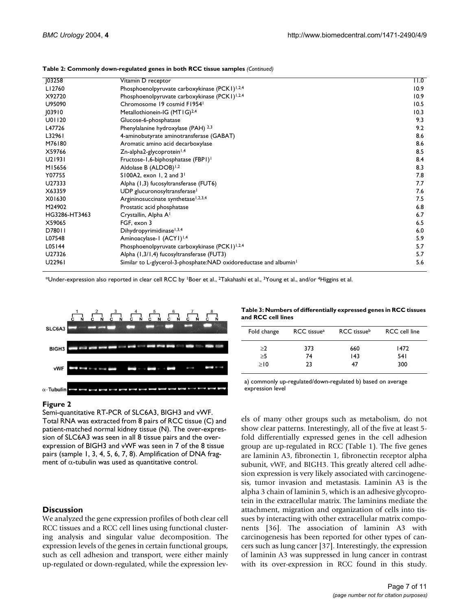| 103258        | Vitamin D receptor                                                            | 11.0 |
|---------------|-------------------------------------------------------------------------------|------|
| LI2760        | Phosphoenolpyruvate carboxykinase (PCK1) <sup>1,2,4</sup>                     | 10.9 |
| X92720        | Phosphoenolpyruvate carboxykinase (PCK1) <sup>1,2,4</sup>                     | 10.9 |
| U95090        | Chromosome 19 cosmid F1954                                                    | 10.5 |
| 103910        | Metallothionein-IG (MT1G) <sup>2,4</sup>                                      | 10.3 |
| U01120        | Glucose-6-phosphatase                                                         | 9.3  |
| L47726        | Phenylalanine hydroxylase (PAH) 2,3                                           | 9.2  |
| L32961        | 4-aminobutyrate aminotransferase (GABAT)                                      | 8.6  |
| M76180        | Aromatic amino acid decarboxylase                                             | 8.6  |
| X59766        | Zn-alpha2-glycoprotein <sup>1,4</sup>                                         | 8.5  |
| U21931        | Fructose-1,6-biphosphatase (FBP1) <sup>1</sup>                                | 8.4  |
| M15656        | Aldolase B (ALDOB) <sup>1,2</sup>                                             | 8.3  |
| Y07755        | S100A2, exon 1, 2 and $31$                                                    | 7.8  |
| U27333        | Alpha (1,3) fucosyltransferase (FUT6)                                         | 7.7  |
| X63359        | UDP glucuronosyltransferase <sup>1</sup>                                      | 7.6  |
| X01630        | Argininosuccinate synthetase <sup>1,2,3,4</sup>                               | 7.5  |
| M24902        | Prostatic acid phosphatase                                                    | 6.8  |
| HG3286-HT3463 | Crystallin, Alpha A <sup>1</sup>                                              | 6.7  |
| X59065        | FGF, exon 3                                                                   | 6.5  |
| D78011        | Dihydropyrimidinase <sup>1,3,4</sup>                                          | 6.0  |
| L07548        | Aminoacylase-1 (ACY1) <sup>1,4</sup>                                          | 5.9  |
| L05144        | Phosphoenolpyruvate carboxykinase (PCK1) <sup>1,2,4</sup>                     | 5.7  |
| U27326        | Alpha (1,3/1,4) fucosyltransferase (FUT3)                                     | 5.7  |
| U22961        | Similar to L-glycerol-3-phosphate:NAD oxidoreductase and albumin <sup>1</sup> | 5.6  |
|               |                                                                               |      |

**Table 2: Commonly down-regulated genes in both RCC tissue samples** *(Continued)*

\*Under-expression also reported in clear cell RCC by 1Boer et al., 2Takahashi et al., 3Young et al., and/or 4Higgins et al.



#### **Figure 2**

Semi-quantitative RT-PCR of SLC6A3, BIGH3 and vWF. Total RNA was extracted from 8 pairs of RCC tissue (C) and patient-matched normal kidney tissue (N). The over-expression of SLC6A3 was seen in all 8 tissue pairs and the overexpression of BIGH3 and vWF was seen in 7 of the 8 tissue pairs (sample 1, 3, 4, 5, 6, 7, 8). Amplification of DNA fragment of  $\alpha$ -tubulin was used as quantitative control.

# **Discussion**

We analyzed the gene expression profiles of both clear cell RCC tissues and a RCC cell lines using functional clustering analysis and singular value decomposition. The expression levels of the genes in certain functional groups, such as cell adhesion and transport, were either mainly up-regulated or down-regulated, while the expression lev-

<span id="page-6-0"></span>

| Table 3: Numbers of differentially expressed genes in RCC tissues |  |
|-------------------------------------------------------------------|--|
| and RCC cell lines                                                |  |

| Fold change | RCC tissue <sup>a</sup> | RCC tissue <sup>b</sup> | <b>RCC</b> cell line |
|-------------|-------------------------|-------------------------|----------------------|
| >2          | 373                     | 660                     | 1472                 |
| >5          | 74                      | 143                     | 54 I                 |
| >10         | つろ                      |                         | 300                  |

a) commonly up-regulated/down-regulated b) based on average expression level

els of many other groups such as metabolism, do not show clear patterns. Interestingly, all of the five at least 5 fold differentially expressed genes in the cell adhesion group are up-regulated in RCC (Table [1\)](#page-5-0). The five genes are laminin A3, fibronectin 1, fibronectin receptor alpha subunit, vWF, and BIGH3. This greatly altered cell adhesion expression is very likely associated with carcinogenesis, tumor invasion and metastasis. Laminin A3 is the alpha 3 chain of laminin 5, which is an adhesive glycoprotein in the extracellular matrix. The laminins mediate the attachment, migration and organization of cells into tissues by interacting with other extracellular matrix components [36]. The association of laminin A3 with carcinogenesis has been reported for other types of cancers such as lung cancer [37]. Interestingly, the expression of laminin A3 was suppressed in lung cancer in contrast with its over-expression in RCC found in this study.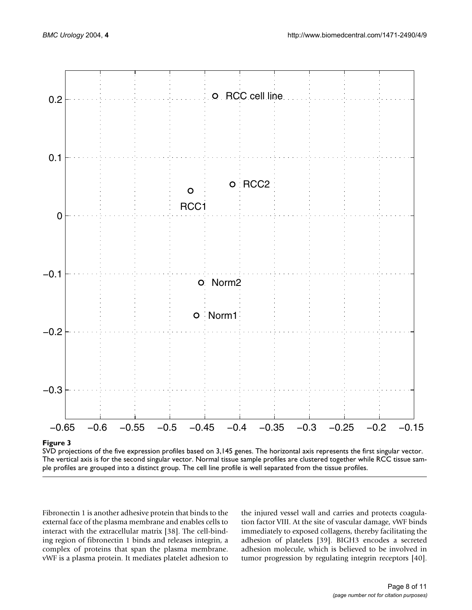<span id="page-7-0"></span>

# **Figure 3**

SVD projections of the five expression profiles based on 3,145 genes. The horizontal axis represents the first singular vector. The vertical axis is for the second singular vector. Normal tissue sample profiles are clustered together while RCC tissue sample profiles are grouped into a distinct group. The cell line profile is well separated from the tissue profiles.

Fibronectin 1 is another adhesive protein that binds to the external face of the plasma membrane and enables cells to interact with the extracellular matrix [38]. The cell-binding region of fibronectin 1 binds and releases integrin, a complex of proteins that span the plasma membrane. vWF is a plasma protein. It mediates platelet adhesion to

the injured vessel wall and carries and protects coagulation factor VIII. At the site of vascular damage, vWF binds immediately to exposed collagens, thereby facilitating the adhesion of platelets [39]. BIGH3 encodes a secreted adhesion molecule, which is believed to be involved in tumor progression by regulating integrin receptors [40].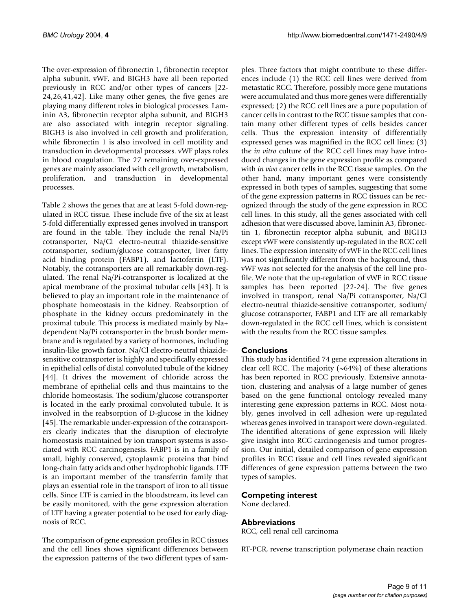The over-expression of fibronectin 1, fibronectin receptor alpha subunit, vWF, and BIGH3 have all been reported previously in RCC and/or other types of cancers [22- 24,26,41,42]. Like many other genes, the five genes are playing many different roles in biological processes. Laminin A3, fibronectin receptor alpha subunit, and BIGH3 are also associated with integrin receptor signaling. BIGH3 is also involved in cell growth and proliferation, while fibronectin 1 is also involved in cell motility and transduction in developmental processes. vWF plays roles in blood coagulation. The 27 remaining over-expressed genes are mainly associated with cell growth, metabolism, proliferation, and transduction in developmental processes.

Table [2](#page-5-1) shows the genes that are at least 5-fold down-regulated in RCC tissue. These include five of the six at least 5-fold differentially expressed genes involved in transport are found in the table. They include the renal Na/Pi cotransporter, Na/Cl electro-neutral thiazide-sensitive cotransporter, sodium/glucose cotransporter, liver fatty acid binding protein (FABP1), and lactoferrin (LTF). Notably, the cotransporters are all remarkably down-regulated. The renal Na/Pi-cotransporter is localized at the apical membrane of the proximal tubular cells [43]. It is believed to play an important role in the maintenance of phosphate homeostasis in the kidney. Reabsorption of phosphate in the kidney occurs predominately in the proximal tubule. This process is mediated mainly by Na+ dependent Na/Pi cotransporter in the brush border membrane and is regulated by a variety of hormones, including insulin-like growth factor. Na/Cl electro-neutral thiazidesensitive cotransporter is highly and specifically expressed in epithelial cells of distal convoluted tubule of the kidney [44]. It drives the movement of chloride across the membrane of epithelial cells and thus maintains to the chloride homeostasis. The sodium/glucose cotransporter is located in the early proximal convoluted tubule. It is involved in the reabsorption of D-glucose in the kidney [45]. The remarkable under-expression of the cotransporters clearly indicates that the disruption of electrolyte homeostasis maintained by ion transport systems is associated with RCC carcinogenesis. FABP1 is in a family of small, highly conserved, cytoplasmic proteins that bind long-chain fatty acids and other hydrophobic ligands. LTF is an important member of the transferrin family that plays an essential role in the transport of iron to all tissue cells. Since LTF is carried in the bloodstream, its level can be easily monitored, with the gene expression alteration of LTF having a greater potential to be used for early diagnosis of RCC.

The comparison of gene expression profiles in RCC tissues and the cell lines shows significant differences between the expression patterns of the two different types of samples. Three factors that might contribute to these differences include (1) the RCC cell lines were derived from metastatic RCC. Therefore, possibly more gene mutations were accumulated and thus more genes were differentially expressed; (2) the RCC cell lines are a pure population of cancer cells in contrast to the RCC tissue samples that contain many other different types of cells besides cancer cells. Thus the expression intensity of differentially expressed genes was magnified in the RCC cell lines; (3) the *in vitro* culture of the RCC cell lines may have introduced changes in the gene expression profile as compared with *in vivo* cancer cells in the RCC tissue samples. On the other hand, many important genes were consistently expressed in both types of samples, suggesting that some of the gene expression patterns in RCC tissues can be recognized through the study of the gene expression in RCC cell lines. In this study, all the genes associated with cell adhesion that were discussed above, laminin A3, fibronectin 1, fibronectin receptor alpha subunit, and BIGH3 except vWF were consistently up-regulated in the RCC cell lines. The expression intensity of vWF in the RCC cell lines was not significantly different from the background, thus vWF was not selected for the analysis of the cell line profile. We note that the up-regulation of vWF in RCC tissue samples has been reported [22-24]. The five genes involved in transport, renal Na/Pi cotransporter, Na/Cl electro-neutral thiazide-sensitive cotransporter, sodium/ glucose cotransporter, FABP1 and LTF are all remarkably down-regulated in the RCC cell lines, which is consistent with the results from the RCC tissue samples.

# **Conclusions**

This study has identified 74 gene expression alterations in clear cell RCC. The majority  $(\sim 64\%)$  of these alterations has been reported in RCC previously. Extensive annotation, clustering and analysis of a large number of genes based on the gene functional ontology revealed many interesting gene expression patterns in RCC. Most notably, genes involved in cell adhesion were up-regulated whereas genes involved in transport were down-regulated. The identified alterations of gene expression will likely give insight into RCC carcinogenesis and tumor progression. Our initial, detailed comparison of gene expression profiles in RCC tissue and cell lines revealed significant differences of gene expression patterns between the two types of samples.

# **Competing interest**

None declared.

# **Abbreviations**

RCC, cell renal cell carcinoma

RT-PCR, reverse transcription polymerase chain reaction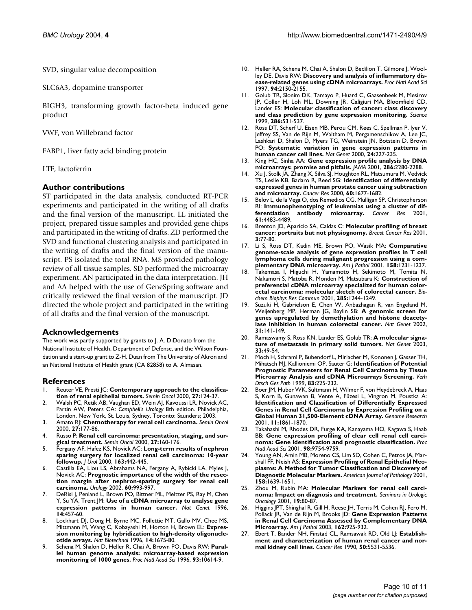SVD, singular value decomposition

SLC6A3, dopamine transporter

BIGH3, transforming growth factor-beta induced gene product

VWF, von Willebrand factor

FABP1, liver fatty acid binding protein

LTF, lactoferrin

# **Author contributions**

ST participated in the data analysis, conducted RT-PCR experiments and participated in the writing of all drafts and the final version of the manuscript. LL initiated the project, prepared tissue samples and provided gene chips and participated in the writing of drafts. ZD performed the SVD and functional clustering analysis and participated in the writing of drafts and the final version of the manuscript. PS isolated the total RNA. MS provided pathology review of all tissue samples. SD performed the microarray experiment. AN participated in the data interpretation. JH and AA helped with the use of GeneSpring software and critically reviewed the final version of the manuscript. JD directed the whole project and participated in the writing of all drafts and the final version of the manuscript.

#### **Acknowledgements**

The work was partly supported by grants to J. A. DiDonato from the National Institute of Health, Department of Defense, and the Wilson Foundation and a start-up grant to Z-H. Duan from The University of Akron and an National Institute of Health grant (CA 82858) to A. Almasan.

#### **References**

- Reuter VE, Presti JC: **[Contemporary approach to the classifica](http://www.ncbi.nlm.nih.gov/entrez/query.fcgi?cmd=Retrieve&db=PubMed&dopt=Abstract&list_uids=10768592)[tion of renal epithelial tumors.](http://www.ncbi.nlm.nih.gov/entrez/query.fcgi?cmd=Retrieve&db=PubMed&dopt=Abstract&list_uids=10768592)** *Semin Oncol* 2000, **27:**124-37.
- 2. Walsh PC, Retik AB, Vaughan ED, Wein AJ, Kavoussi LR, Novick AC, Partin AW, Peters CA: *Campbell's Urology* 8th edition. Philadelphia, London, New York, St. Louis, Sydney, Toronto: Saunders; 2003.
- 3. Amato RJ: **[Chemotherapy for renal cell carcinoma.](http://www.ncbi.nlm.nih.gov/entrez/query.fcgi?cmd=Retrieve&db=PubMed&dopt=Abstract&list_uids=10768596)** *Semin Oncol* 2000, **27:**177-86.
- 4. Russo P: **[Renal cell carcinoma: presentation, staging, and sur](http://www.ncbi.nlm.nih.gov/entrez/query.fcgi?cmd=Retrieve&db=PubMed&dopt=Abstract&list_uids=10768595)[gical treatment.](http://www.ncbi.nlm.nih.gov/entrez/query.fcgi?cmd=Retrieve&db=PubMed&dopt=Abstract&list_uids=10768595)** *Semin Oncol* 2000, **27:**160-176.
- 5. Fergany AF, Hafez KS, Novick AC: **[Long-term results of nephron](http://www.ncbi.nlm.nih.gov/entrez/query.fcgi?cmd=Retrieve&db=PubMed&dopt=Abstract&list_uids=10647650) [sparing surgery for localized renal cell carcinoma: 10-year](http://www.ncbi.nlm.nih.gov/entrez/query.fcgi?cmd=Retrieve&db=PubMed&dopt=Abstract&list_uids=10647650) [followup.](http://www.ncbi.nlm.nih.gov/entrez/query.fcgi?cmd=Retrieve&db=PubMed&dopt=Abstract&list_uids=10647650)** *J Urol* 2000, **163:**442-445.
- 6. Castilla EA, Liou LS, Abrahams NA, Fergany A, Rybicki LA, Myles J, Novick AC: **[Prognostic importance of the width of the resec](http://www.ncbi.nlm.nih.gov/entrez/query.fcgi?cmd=Retrieve&db=PubMed&dopt=Abstract&list_uids=10.1016/S0090-4295(02)01983-0)[tion margin after nephron-sparing surgery for renal cell](http://www.ncbi.nlm.nih.gov/entrez/query.fcgi?cmd=Retrieve&db=PubMed&dopt=Abstract&list_uids=10.1016/S0090-4295(02)01983-0) [carcinoma](http://www.ncbi.nlm.nih.gov/entrez/query.fcgi?cmd=Retrieve&db=PubMed&dopt=Abstract&list_uids=10.1016/S0090-4295(02)01983-0)[.](http://www.ncbi.nlm.nih.gov/entrez/query.fcgi?cmd=Retrieve&db=PubMed&dopt=Abstract&list_uids=12475656)** *Urology* 2002, **60:**993-997.
- 7. DeRisi J, Penland L, Brown PO, Bittner ML, Meltzer PS, Ray M, Chen Y, Su YA, Trent JM: **[Use of a cDNA microarray to analyse gene](http://www.ncbi.nlm.nih.gov/entrez/query.fcgi?cmd=Retrieve&db=PubMed&dopt=Abstract&list_uids=8944026) [expression patterns in human cancer.](http://www.ncbi.nlm.nih.gov/entrez/query.fcgi?cmd=Retrieve&db=PubMed&dopt=Abstract&list_uids=8944026)** *Nat Genet* 1996, **14:**457-60.
- 8. Lockhart DJ, Dong H, Byrne MC, Follettie MT, Gallo MV, Chee MS, Mittmann M, Wang C, Kobayashi M, Horton H, Brown EL: **[Expres](http://www.ncbi.nlm.nih.gov/entrez/query.fcgi?cmd=Retrieve&db=PubMed&dopt=Abstract&list_uids=9634850)[sion monitoring by hybridization to high-density oligonucle](http://www.ncbi.nlm.nih.gov/entrez/query.fcgi?cmd=Retrieve&db=PubMed&dopt=Abstract&list_uids=9634850)[otide arrays.](http://www.ncbi.nlm.nih.gov/entrez/query.fcgi?cmd=Retrieve&db=PubMed&dopt=Abstract&list_uids=9634850)** *Nat Biotechnol* 1996, **14:**1675-80.
- 9. Schena M, Shalon D, Heller R, Chai A, Brown PO, Davis RW: **[Paral](http://www.ncbi.nlm.nih.gov/entrez/query.fcgi?cmd=Retrieve&db=PubMed&dopt=Abstract&list_uids=10.1073/pnas.93.20.10614)[lel human genome analysis: microarray-based expression](http://www.ncbi.nlm.nih.gov/entrez/query.fcgi?cmd=Retrieve&db=PubMed&dopt=Abstract&list_uids=10.1073/pnas.93.20.10614) [monitoring of 1000 genes](http://www.ncbi.nlm.nih.gov/entrez/query.fcgi?cmd=Retrieve&db=PubMed&dopt=Abstract&list_uids=10.1073/pnas.93.20.10614)[.](http://www.ncbi.nlm.nih.gov/entrez/query.fcgi?cmd=Retrieve&db=PubMed&dopt=Abstract&list_uids=8855227)** *Proc Natl Acad Sci* 1996, **93:**10614-9.
- 10. Heller RA, Schena M, Chai A, Shalon D, Bedilion T, Gilmore J, Woolley DE, Davis RW: **[Discovery and analysis of inflammatory dis](http://www.ncbi.nlm.nih.gov/entrez/query.fcgi?cmd=Retrieve&db=PubMed&dopt=Abstract&list_uids=10.1073/pnas.94.6.2150)[ease-related genes using cDNA microarrays](http://www.ncbi.nlm.nih.gov/entrez/query.fcgi?cmd=Retrieve&db=PubMed&dopt=Abstract&list_uids=10.1073/pnas.94.6.2150)[.](http://www.ncbi.nlm.nih.gov/entrez/query.fcgi?cmd=Retrieve&db=PubMed&dopt=Abstract&list_uids=9122163)** *Proc Natl Acad Sci* 1997, **94:**2150-2155.
- 11. Golub TR, Slonim DK, Tamayo P, Huard C, Gaasenbeek M, Mesirov JP, Coller H, Loh ML, Downing JR, Caligiuri MA, Bloomfield CD, Lander ES: **[Molecular classification of cancer: class discovery](http://www.ncbi.nlm.nih.gov/entrez/query.fcgi?cmd=Retrieve&db=PubMed&dopt=Abstract&list_uids=10.1126/science.286.5439.531) [and class prediction by gene expression monitoring](http://www.ncbi.nlm.nih.gov/entrez/query.fcgi?cmd=Retrieve&db=PubMed&dopt=Abstract&list_uids=10.1126/science.286.5439.531)[.](http://www.ncbi.nlm.nih.gov/entrez/query.fcgi?cmd=Retrieve&db=PubMed&dopt=Abstract&list_uids=10521349)** *Science* 1999, **286:**531-537.
- 12. Ross DT, Scherf U, Eisen MB, Perou CM, Rees C, Spellman P, Iyer V, Jeffrey SS, Van de Rijn M, Waltham M, Pergamenschikov A, Lee JC, Lashkari D, Shalon D, Myers TG, Weinstein JN, Botstein D, Brown PO: **[Systematic variation in gene expression patterns in](http://www.ncbi.nlm.nih.gov/entrez/query.fcgi?cmd=Retrieve&db=PubMed&dopt=Abstract&list_uids=10.1038/73432) [human cancer cell lines](http://www.ncbi.nlm.nih.gov/entrez/query.fcgi?cmd=Retrieve&db=PubMed&dopt=Abstract&list_uids=10.1038/73432)[.](http://www.ncbi.nlm.nih.gov/entrez/query.fcgi?cmd=Retrieve&db=PubMed&dopt=Abstract&list_uids=10700174)** *Nat Genet* 2000, **24:**227-235.
- 13. King HC, Sinha AA: **[Gene expression profile analysis by DNA](http://www.ncbi.nlm.nih.gov/entrez/query.fcgi?cmd=Retrieve&db=PubMed&dopt=Abstract&list_uids=10.1001/jama.286.18.2280) [microarrays: promise and pitfalls](http://www.ncbi.nlm.nih.gov/entrez/query.fcgi?cmd=Retrieve&db=PubMed&dopt=Abstract&list_uids=10.1001/jama.286.18.2280)[.](http://www.ncbi.nlm.nih.gov/entrez/query.fcgi?cmd=Retrieve&db=PubMed&dopt=Abstract&list_uids=11710894)** *JAMA* 2001, **286:**2280-2288.
- 14. Xu J, Stolk JA, Zhang X, Silva SJ, Houghton RL, Matsumura M, Vedvick TS, Leslie KB, Badaro R, Reed SG: **[Identification of differentially](http://www.ncbi.nlm.nih.gov/entrez/query.fcgi?cmd=Retrieve&db=PubMed&dopt=Abstract&list_uids=10749139) [expressed genes in human prostate cancer using subtraction](http://www.ncbi.nlm.nih.gov/entrez/query.fcgi?cmd=Retrieve&db=PubMed&dopt=Abstract&list_uids=10749139) [and microarray.](http://www.ncbi.nlm.nih.gov/entrez/query.fcgi?cmd=Retrieve&db=PubMed&dopt=Abstract&list_uids=10749139)** *Cancer Res* 2000, **60:**1677-1682.
- 15. Belov L, de la Vega O, dos Remedios CG, Mulligan SP, Christopherson RI: **[Immunophenotyping of leukemias using a cluster of dif](http://www.ncbi.nlm.nih.gov/entrez/query.fcgi?cmd=Retrieve&db=PubMed&dopt=Abstract&list_uids=11389079)[ferentiation antibody microarray.](http://www.ncbi.nlm.nih.gov/entrez/query.fcgi?cmd=Retrieve&db=PubMed&dopt=Abstract&list_uids=11389079)** *Cancer Res* 2001, **61:**4483-4489.
- 16. Brenton JD, Aparicio SA, Caldas C: **[Molecular profiling of breast](http://www.ncbi.nlm.nih.gov/entrez/query.fcgi?cmd=Retrieve&db=PubMed&dopt=Abstract&list_uids=10.1186/bcr274) [cancer: portraits but not physiognomy](http://www.ncbi.nlm.nih.gov/entrez/query.fcgi?cmd=Retrieve&db=PubMed&dopt=Abstract&list_uids=10.1186/bcr274)[.](http://www.ncbi.nlm.nih.gov/entrez/query.fcgi?cmd=Retrieve&db=PubMed&dopt=Abstract&list_uids=11250749)** *Breast Cancer Res* 2001, **3:**77-80.
- 17. Li S, Ross DT, Kadin ME, Brown PO, Wasik MA: **[Comparative](http://www.ncbi.nlm.nih.gov/entrez/query.fcgi?cmd=Retrieve&db=PubMed&dopt=Abstract&list_uids=11290540) [genome-scale analysis of gene expression profiles in T cell](http://www.ncbi.nlm.nih.gov/entrez/query.fcgi?cmd=Retrieve&db=PubMed&dopt=Abstract&list_uids=11290540) lymphoma cells during malignant progression using a com[plementary DNA microarray.](http://www.ncbi.nlm.nih.gov/entrez/query.fcgi?cmd=Retrieve&db=PubMed&dopt=Abstract&list_uids=11290540)** *Am J Pathol* 2001, **158:**1231-1237.
- 18. Takemasa I, Higuchi H, Yamamoto H, Sekimoto M, Tomita N, Nakamori S, Matoba R, Monden M, Matsubara K: **[Construction of](http://www.ncbi.nlm.nih.gov/entrez/query.fcgi?cmd=Retrieve&db=PubMed&dopt=Abstract&list_uids=10.1006/bbrc.2001.5277) [preferential cDNA microarray specialized for human color](http://www.ncbi.nlm.nih.gov/entrez/query.fcgi?cmd=Retrieve&db=PubMed&dopt=Abstract&list_uids=10.1006/bbrc.2001.5277)[ectal carcinoma: molecular sketch of colorectal cancer](http://www.ncbi.nlm.nih.gov/entrez/query.fcgi?cmd=Retrieve&db=PubMed&dopt=Abstract&list_uids=10.1006/bbrc.2001.5277)[.](http://www.ncbi.nlm.nih.gov/entrez/query.fcgi?cmd=Retrieve&db=PubMed&dopt=Abstract&list_uids=11478790)** *Biochem Biophys Res Commun* 2001, **285:**1244-1249.
- Suzuki H, Gabrielson E, Chen W, Anbazhagan R, van Engeland M, Weijenberg MP, Herman JG, Baylin SB: **[A genomic screen for](http://www.ncbi.nlm.nih.gov/entrez/query.fcgi?cmd=Retrieve&db=PubMed&dopt=Abstract&list_uids=10.1038/ng892) [genes upregulated by demethylation and histone deacety](http://www.ncbi.nlm.nih.gov/entrez/query.fcgi?cmd=Retrieve&db=PubMed&dopt=Abstract&list_uids=10.1038/ng892)[lase inhibition in human colorectal cancer](http://www.ncbi.nlm.nih.gov/entrez/query.fcgi?cmd=Retrieve&db=PubMed&dopt=Abstract&list_uids=10.1038/ng892)[.](http://www.ncbi.nlm.nih.gov/entrez/query.fcgi?cmd=Retrieve&db=PubMed&dopt=Abstract&list_uids=11992124)** *Nat Genet* 2002, **31:**141-149.
- 20. Ramaswamy S, Ross KN, Lander ES, Golub TR: **[A molecular signa](http://www.ncbi.nlm.nih.gov/entrez/query.fcgi?cmd=Retrieve&db=PubMed&dopt=Abstract&list_uids=10.1038/ng1060)[ture of metastasis in primary solid tumors](http://www.ncbi.nlm.nih.gov/entrez/query.fcgi?cmd=Retrieve&db=PubMed&dopt=Abstract&list_uids=10.1038/ng1060)[.](http://www.ncbi.nlm.nih.gov/entrez/query.fcgi?cmd=Retrieve&db=PubMed&dopt=Abstract&list_uids=12469122)** *Nat Genet* 2003, **33:**49-54.
- 21. Moch H, Schraml P, Bubendorf L, Mirlacher M, Kononen J, Gasser TH, Mihatsch MJ, Kallioniemi OP, Sauter G: **Identification of Potential Prognostic Parameters for Renal Cell Carcinoma by Tissue Microarray Analysis and cDNA Microarrays Screening.** *Verh Dtsch Ges Path* 1999, **83:**225-232.
- 22. Boer JM, Huber WK, Sültmann H, Wilmer F, von Heydebreck A, Haas S, Korn B, Gunawan B, Vente A, Füzesi L, Vingron M, Poustka A: **Identification and Classification of Differentially Expressed [Genes in Renal Cell Carcinoma by Expression Profiling on a](http://www.ncbi.nlm.nih.gov/entrez/query.fcgi?cmd=Retrieve&db=PubMed&dopt=Abstract&list_uids=11691851) [Global Human 31,500-Element cDNA Array.](http://www.ncbi.nlm.nih.gov/entrez/query.fcgi?cmd=Retrieve&db=PubMed&dopt=Abstract&list_uids=11691851)** *Genome Research* 2001, **11:**1861-1870.
- 23. Takahashi M, Rhodes DR, Furge KA, Kanayama HO, Kagawa S, Haab BB: **[Gene expression profiling of clear cell renal cell carci](http://www.ncbi.nlm.nih.gov/entrez/query.fcgi?cmd=Retrieve&db=PubMed&dopt=Abstract&list_uids=10.1073/pnas.171209998)[noma: Gene identification and prognostic classification](http://www.ncbi.nlm.nih.gov/entrez/query.fcgi?cmd=Retrieve&db=PubMed&dopt=Abstract&list_uids=10.1073/pnas.171209998)[.](http://www.ncbi.nlm.nih.gov/entrez/query.fcgi?cmd=Retrieve&db=PubMed&dopt=Abstract&list_uids=11493696)** *Proc Natl Acad Sci* 2001, **98:**9754-9759.
- 24. Young AN, Amin MB, Moreno CS, Lim SD, Cohen C, Petros JA, Marshall FF, Neish AS: **[Expression Profiling of Renal Epithelial Neo](http://www.ncbi.nlm.nih.gov/entrez/query.fcgi?cmd=Retrieve&db=PubMed&dopt=Abstract&list_uids=11337362)[plasms: A Method for Tumor Classification and Discovery of](http://www.ncbi.nlm.nih.gov/entrez/query.fcgi?cmd=Retrieve&db=PubMed&dopt=Abstract&list_uids=11337362) [Diagnostic Molecular Markers.](http://www.ncbi.nlm.nih.gov/entrez/query.fcgi?cmd=Retrieve&db=PubMed&dopt=Abstract&list_uids=11337362)** *American Journal of Pathology* 2001, **158:**1639-1651.
- 25. Zhou M, Rubin MA: **[Molecular Markers for renal cell carci](http://www.ncbi.nlm.nih.gov/entrez/query.fcgi?cmd=Retrieve&db=PubMed&dopt=Abstract&list_uids=11354537)[noma: Impact on diagnosis and treatment.](http://www.ncbi.nlm.nih.gov/entrez/query.fcgi?cmd=Retrieve&db=PubMed&dopt=Abstract&list_uids=11354537)** *Seminars in Urologic Oncology* 2001, **19:**80-87.
- Higgins JPT, Shinghal R, Gill H, Reese JH, Terris M, Cohen RJ, Fero M, Pollack JR, Van de Rijn M, Brooks JD: **[Gene Expression Patterns](http://www.ncbi.nlm.nih.gov/entrez/query.fcgi?cmd=Retrieve&db=PubMed&dopt=Abstract&list_uids=12598325) [in Renal Cell Carcinoma Assessed by Complementary DNA](http://www.ncbi.nlm.nih.gov/entrez/query.fcgi?cmd=Retrieve&db=PubMed&dopt=Abstract&list_uids=12598325) [Microarray.](http://www.ncbi.nlm.nih.gov/entrez/query.fcgi?cmd=Retrieve&db=PubMed&dopt=Abstract&list_uids=12598325)** *Am J Pathol* 2003, **162:**925-932.
- 27. Ebert T, Bander NH, Finstad CL, Ramsawak RD, Old LJ: **[Establish](http://www.ncbi.nlm.nih.gov/entrez/query.fcgi?cmd=Retrieve&db=PubMed&dopt=Abstract&list_uids=2386958)[ment and characterization of human renal cancer and nor](http://www.ncbi.nlm.nih.gov/entrez/query.fcgi?cmd=Retrieve&db=PubMed&dopt=Abstract&list_uids=2386958)[mal kidney cell lines.](http://www.ncbi.nlm.nih.gov/entrez/query.fcgi?cmd=Retrieve&db=PubMed&dopt=Abstract&list_uids=2386958)** *Cancer Res* 1990, **50:**5531-5536.